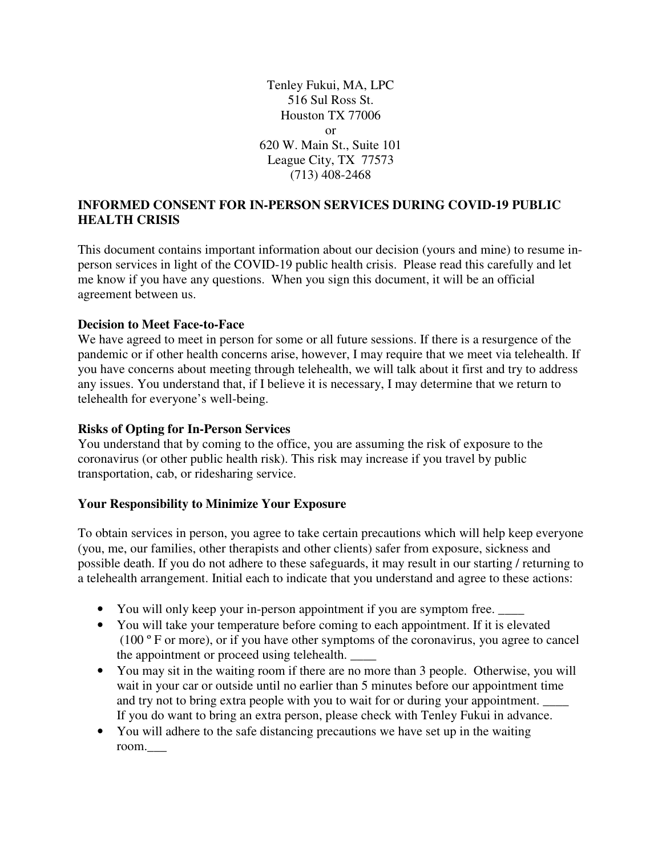Tenley Fukui, MA, LPC 516 Sul Ross St. Houston TX 77006 or 620 W. Main St., Suite 101 League City, TX 77573 (713) 408-2468

### **INFORMED CONSENT FOR IN-PERSON SERVICES DURING COVID-19 PUBLIC HEALTH CRISIS**

This document contains important information about our decision (yours and mine) to resume inperson services in light of the COVID-19 public health crisis. Please read this carefully and let me know if you have any questions. When you sign this document, it will be an official agreement between us.

#### **Decision to Meet Face-to-Face**

We have agreed to meet in person for some or all future sessions. If there is a resurgence of the pandemic or if other health concerns arise, however, I may require that we meet via telehealth. If you have concerns about meeting through telehealth, we will talk about it first and try to address any issues. You understand that, if I believe it is necessary, I may determine that we return to telehealth for everyone's well-being.

#### **Risks of Opting for In-Person Services**

You understand that by coming to the office, you are assuming the risk of exposure to the coronavirus (or other public health risk). This risk may increase if you travel by public transportation, cab, or ridesharing service.

#### **Your Responsibility to Minimize Your Exposure**

To obtain services in person, you agree to take certain precautions which will help keep everyone (you, me, our families, other therapists and other clients) safer from exposure, sickness and possible death. If you do not adhere to these safeguards, it may result in our starting / returning to a telehealth arrangement. Initial each to indicate that you understand and agree to these actions:

- You will only keep your in-person appointment if you are symptom free.
- You will take your temperature before coming to each appointment. If it is elevated (100 º F or more), or if you have other symptoms of the coronavirus, you agree to cancel the appointment or proceed using telehealth.
- You may sit in the waiting room if there are no more than 3 people. Otherwise, you will wait in your car or outside until no earlier than 5 minutes before our appointment time and try not to bring extra people with you to wait for or during your appointment. If you do want to bring an extra person, please check with Tenley Fukui in advance.
- You will adhere to the safe distancing precautions we have set up in the waiting room.\_\_\_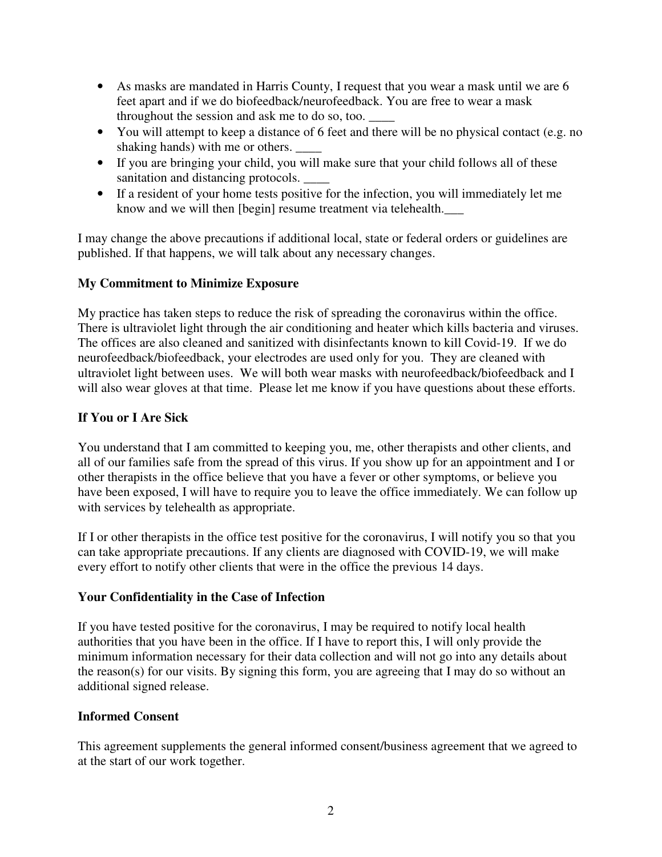- As masks are mandated in Harris County, I request that you wear a mask until we are 6 feet apart and if we do biofeedback/neurofeedback. You are free to wear a mask throughout the session and ask me to do so, too. \_\_\_\_
- You will attempt to keep a distance of 6 feet and there will be no physical contact (e.g. no shaking hands) with me or others. \_\_\_\_\_
- If you are bringing your child, you will make sure that your child follows all of these sanitation and distancing protocols.
- If a resident of your home tests positive for the infection, you will immediately let me know and we will then [begin] resume treatment via telehealth.\_\_\_

I may change the above precautions if additional local, state or federal orders or guidelines are published. If that happens, we will talk about any necessary changes.

# **My Commitment to Minimize Exposure**

My practice has taken steps to reduce the risk of spreading the coronavirus within the office. There is ultraviolet light through the air conditioning and heater which kills bacteria and viruses. The offices are also cleaned and sanitized with disinfectants known to kill Covid-19. If we do neurofeedback/biofeedback, your electrodes are used only for you. They are cleaned with ultraviolet light between uses. We will both wear masks with neurofeedback/biofeedback and I will also wear gloves at that time. Please let me know if you have questions about these efforts.

# **If You or I Are Sick**

You understand that I am committed to keeping you, me, other therapists and other clients, and all of our families safe from the spread of this virus. If you show up for an appointment and I or other therapists in the office believe that you have a fever or other symptoms, or believe you have been exposed, I will have to require you to leave the office immediately. We can follow up with services by telehealth as appropriate.

If I or other therapists in the office test positive for the coronavirus, I will notify you so that you can take appropriate precautions. If any clients are diagnosed with COVID-19, we will make every effort to notify other clients that were in the office the previous 14 days.

## **Your Confidentiality in the Case of Infection**

If you have tested positive for the coronavirus, I may be required to notify local health authorities that you have been in the office. If I have to report this, I will only provide the minimum information necessary for their data collection and will not go into any details about the reason(s) for our visits. By signing this form, you are agreeing that I may do so without an additional signed release.

## **Informed Consent**

This agreement supplements the general informed consent/business agreement that we agreed to at the start of our work together.